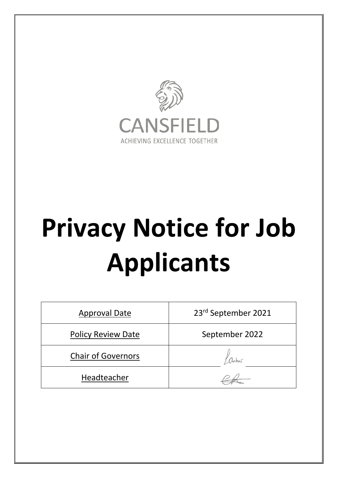

# **Privacy Notice for Job Applicants**

| <b>Approval Date</b>      | 23rd September 2021 |
|---------------------------|---------------------|
| <b>Policy Review Date</b> | September 2022      |
| <b>Chair of Governors</b> |                     |
| Headteacher               |                     |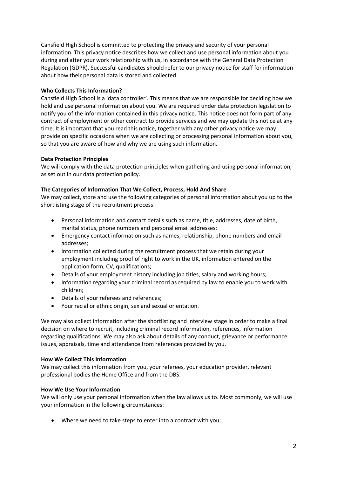Cansfield High School is committed to protecting the privacy and security of your personal information. This privacy notice describes how we collect and use personal information about you during and after your work relationship with us, in accordance with the General Data Protection Regulation (GDPR). Successful candidates should refer to our privacy notice for staff for information about how their personal data is stored and collected.

# **Who Collects This Information?**

Cansfield High School is a 'data controller'. This means that we are responsible for deciding how we hold and use personal information about you. We are required under data protection legislation to notify you of the information contained in this privacy notice. This notice does not form part of any contract of employment or other contract to provide services and we may update this notice at any time. It is important that you read this notice, together with any other privacy notice we may provide on specific occasions when we are collecting or processing personal information about you, so that you are aware of how and why we are using such information.

# **Data Protection Principles**

We will comply with the data protection principles when gathering and using personal information, as set out in our data protection policy.

# **The Categories of Information That We Collect, Process, Hold And Share**

We may collect, store and use the following categories of personal information about you up to the shortlisting stage of the recruitment process:

- Personal information and contact details such as name, title, addresses, date of birth, marital status, phone numbers and personal email addresses;
- Emergency contact information such as names, relationship, phone numbers and email addresses;
- Information collected during the recruitment process that we retain during your employment including proof of right to work in the UK, information entered on the application form, CV, qualifications;
- Details of your employment history including job titles, salary and working hours;
- Information regarding your criminal record as required by law to enable you to work with children;
- Details of your referees and references;
- Your racial or ethnic origin, sex and sexual orientation.

We may also collect information after the shortlisting and interview stage in order to make a final decision on where to recruit, including criminal record information, references, information regarding qualifications. We may also ask about details of any conduct, grievance or performance issues, appraisals, time and attendance from references provided by you.

#### **How We Collect This Information**

We may collect this information from you, your referees, your education provider, relevant professional bodies the Home Office and from the DBS.

#### **How We Use Your Information**

We will only use your personal information when the law allows us to. Most commonly, we will use your information in the following circumstances:

• Where we need to take steps to enter into a contract with you;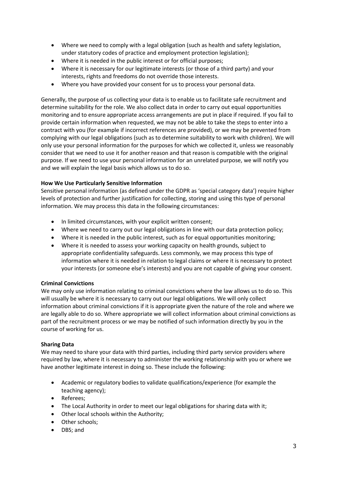- Where we need to comply with a legal obligation (such as health and safety legislation, under statutory codes of practice and employment protection legislation);
- Where it is needed in the public interest or for official purposes;
- Where it is necessary for our legitimate interests (or those of a third party) and your interests, rights and freedoms do not override those interests.
- Where you have provided your consent for us to process your personal data.

Generally, the purpose of us collecting your data is to enable us to facilitate safe recruitment and determine suitability for the role. We also collect data in order to carry out equal opportunities monitoring and to ensure appropriate access arrangements are put in place if required. If you fail to provide certain information when requested, we may not be able to take the steps to enter into a contract with you (for example if incorrect references are provided), or we may be prevented from complying with our legal obligations (such as to determine suitability to work with children). We will only use your personal information for the purposes for which we collected it, unless we reasonably consider that we need to use it for another reason and that reason is compatible with the original purpose. If we need to use your personal information for an unrelated purpose, we will notify you and we will explain the legal basis which allows us to do so.

# **How We Use Particularly Sensitive Information**

Sensitive personal information (as defined under the GDPR as 'special category data') require higher levels of protection and further justification for collecting, storing and using this type of personal information. We may process this data in the following circumstances:

- In limited circumstances, with your explicit written consent;
- Where we need to carry out our legal obligations in line with our data protection policy;
- Where it is needed in the public interest, such as for equal opportunities monitoring;
- Where it is needed to assess your working capacity on health grounds, subject to appropriate confidentiality safeguards. Less commonly, we may process this type of information where it is needed in relation to legal claims or where it is necessary to protect your interests (or someone else's interests) and you are not capable of giving your consent.

#### **Criminal Convictions**

We may only use information relating to criminal convictions where the law allows us to do so. This will usually be where it is necessary to carry out our legal obligations. We will only collect information about criminal convictions if it is appropriate given the nature of the role and where we are legally able to do so. Where appropriate we will collect information about criminal convictions as part of the recruitment process or we may be notified of such information directly by you in the course of working for us.

#### **Sharing Data**

We may need to share your data with third parties, including third party service providers where required by law, where it is necessary to administer the working relationship with you or where we have another legitimate interest in doing so. These include the following:

- Academic or regulatory bodies to validate qualifications/experience (for example the teaching agency);
- Referees;
- The Local Authority in order to meet our legal obligations for sharing data with it;
- Other local schools within the Authority;
- Other schools;
- DBS; and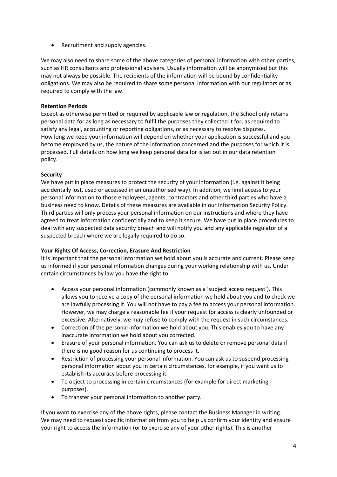• Recruitment and supply agencies.

We may also need to share some of the above categories of personal information with other parties, such as HR consultants and professional advisers. Usually information will be anonymised but this may not always be possible. The recipients of the information will be bound by confidentiality obligations. We may also be required to share some personal information with our regulators or as required to comply with the law.

# **Retention Periods**

Except as otherwise permitted or required by applicable law or regulation, the School only retains personal data for as long as necessary to fulfil the purposes they collected it for, as required to satisfy any legal, accounting or reporting obligations, or as necessary to resolve disputes. How long we keep your information will depend on whether your application is successful and you become employed by us, the nature of the information concerned and the purposes for which it is processed. Full details on how long we keep personal data for is set out in our data retention policy.

# **Security**

We have put in place measures to protect the security of your information (i.e. against it being accidentally lost, used or accessed in an unauthorised way). In addition, we limit access to your personal information to those employees, agents, contractors and other third parties who have a business need to know. Details of these measures are available in our Information Security Policy. Third parties will only process your personal information on our instructions and where they have agreed to treat information confidentially and to keep it secure. We have put in place procedures to deal with any suspected data security breach and will notify you and any applicable regulator of a suspected breach where we are legally required to do so.

# **Your Rights Of Access, Correction, Erasure And Restriction**

It is important that the personal information we hold about you is accurate and current. Please keep us informed if your personal information changes during your working relationship with us. Under certain circumstances by law you have the right to:

- Access your personal information (commonly known as a 'subject access request'). This allows you to receive a copy of the personal information we hold about you and to check we are lawfully processing it. You will not have to pay a fee to access your personal information. However, we may charge a reasonable fee if your request for access is clearly unfounded or excessive. Alternatively, we may refuse to comply with the request in such circumstances.
- Correction of the personal information we hold about you. This enables you to have any inaccurate information we hold about you corrected.
- Erasure of your personal information. You can ask us to delete or remove personal data if there is no good reason for us continuing to process it.
- Restriction of processing your personal information. You can ask us to suspend processing personal information about you in certain circumstances, for example, if you want us to establish its accuracy before processing it.
- To object to processing in certain circumstances (for example for direct marketing purposes).
- To transfer your personal information to another party.

If you want to exercise any of the above rights, please contact the Business Manager in writing. We may need to request specific information from you to help us confirm your identity and ensure your right to access the information (or to exercise any of your other rights). This is another